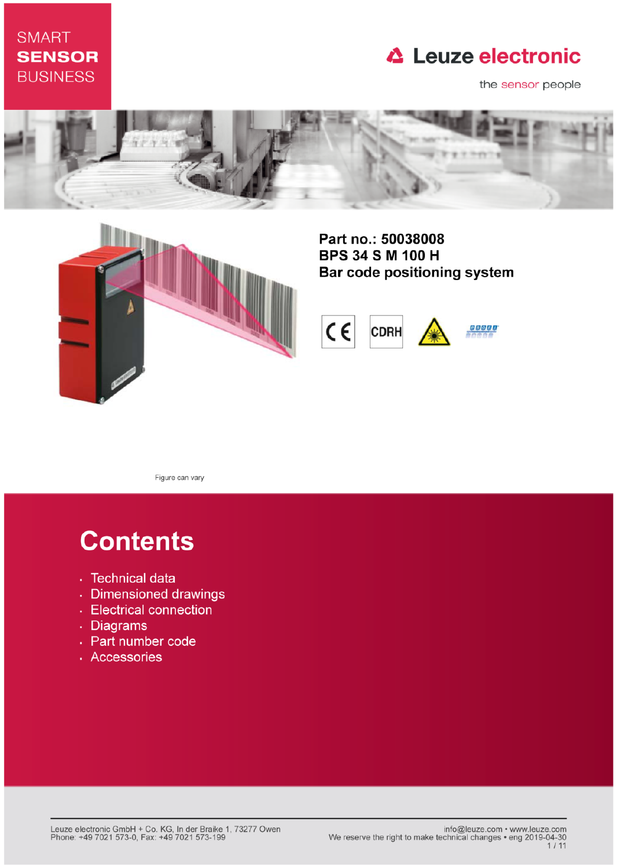### **SMART SENSOR BUSINESS**

### **△ Leuze electronic**

the sensor people





Part no.: 50038008 **BPS 34 S M 100 H** Bar code positioning system



Figure can vary

# **Contents**

- · Technical data
- · Dimensioned drawings
- Electrical connection
- . Diagrams
- Part number code
- · Accessories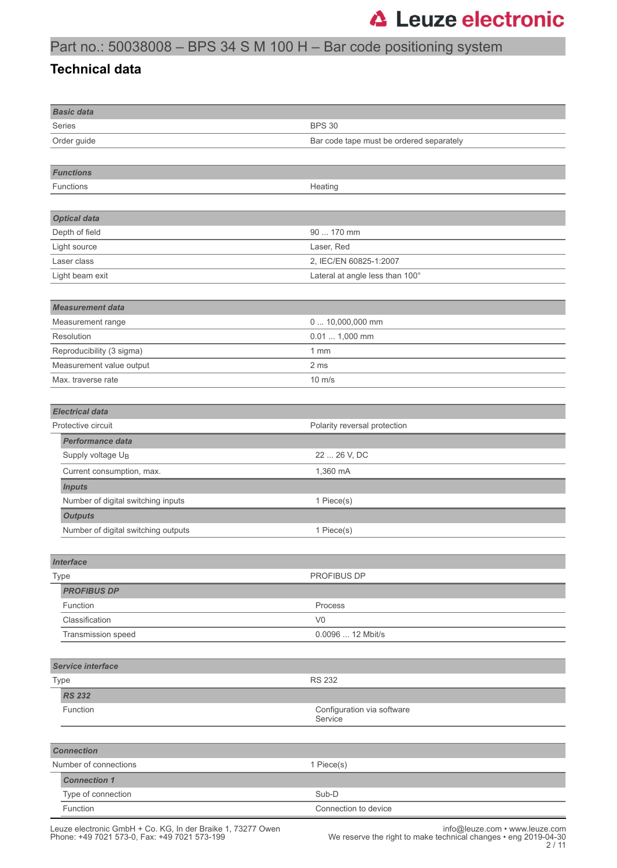### Part no.: 50038008 – BPS 34 S M 100 H – Bar code positioning system

#### **Technical data**

| <b>Basic data</b>                   |                                          |
|-------------------------------------|------------------------------------------|
| Series                              | <b>BPS 30</b>                            |
| Order guide                         | Bar code tape must be ordered separately |
|                                     |                                          |
| <b>Functions</b>                    |                                          |
| Functions                           | Heating                                  |
|                                     |                                          |
| <b>Optical data</b>                 |                                          |
| Depth of field                      | 90  170 mm                               |
| Light source                        | Laser, Red                               |
| Laser class                         | 2, IEC/EN 60825-1:2007                   |
| Light beam exit                     | Lateral at angle less than 100°          |
|                                     |                                          |
| <b>Measurement data</b>             |                                          |
| Measurement range                   | 0  10,000,000 mm                         |
| Resolution                          | $0.01 1,000$ mm                          |
| Reproducibility (3 sigma)           | 1mm                                      |
| Measurement value output            | 2 ms                                     |
| Max. traverse rate                  | $10 \text{ m/s}$                         |
|                                     |                                          |
| <b>Electrical data</b>              |                                          |
| Protective circuit                  | Polarity reversal protection             |
| <b>Performance data</b>             |                                          |
| Supply voltage U <sub>B</sub>       | 22  26 V, DC                             |
| Current consumption, max.           | 1,360 mA                                 |
| <b>Inputs</b>                       |                                          |
| Number of digital switching inputs  | 1 Piece(s)                               |
| <b>Outputs</b>                      |                                          |
| Number of digital switching outputs | 1 Piece(s)                               |
|                                     |                                          |
| <b>Interface</b>                    |                                          |
| Type                                | PROFIBUS DP                              |
| <b>PROFIBUS DP</b>                  |                                          |
| Function                            | Process                                  |
| Classification                      | V <sub>0</sub>                           |
| Transmission speed                  | 0.0096  12 Mbit/s                        |
|                                     |                                          |
| <b>Service interface</b>            |                                          |
| Type                                | <b>RS 232</b>                            |
| <b>RS 232</b>                       |                                          |
| Function                            | Configuration via software               |
|                                     | Service                                  |
|                                     |                                          |
| <b>Connection</b>                   |                                          |
| Number of connections               | 1 Piece(s)                               |
| <b>Connection 1</b>                 |                                          |
| Type of connection                  | Sub-D                                    |
| Function                            | Connection to device                     |

Leuze electronic GmbH + Co. KG, In der Braike 1, 73277 Owen info@leuze.com • www.leuze.com Phone: +49 7021 573-0, Fax: +49 7021 573-199 We reserve the right to make technical changes • eng 2019-04-30

2 / 11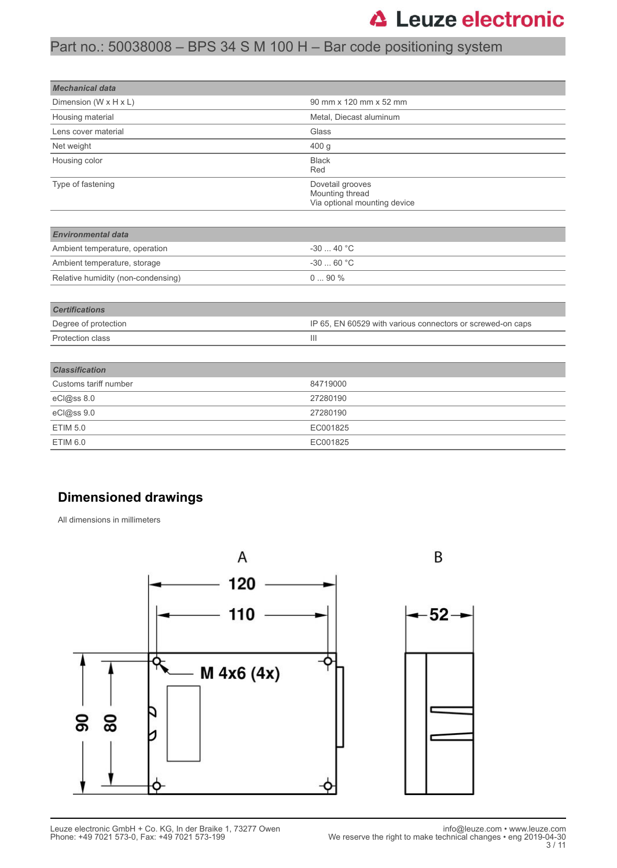#### Part no.: 50038008 – BPS 34 S M 100 H – Bar code positioning system

| <b>Mechanical data</b>             |                                                                     |
|------------------------------------|---------------------------------------------------------------------|
| Dimension (W x H x L)              | 90 mm x 120 mm x 52 mm                                              |
| Housing material                   | Metal, Diecast aluminum                                             |
| Lens cover material                | Glass                                                               |
| Net weight                         | 400 g                                                               |
| Housing color                      | <b>Black</b><br>Red                                                 |
| Type of fastening                  | Dovetail grooves<br>Mounting thread<br>Via optional mounting device |
| <b>Environmental data</b>          |                                                                     |
| Ambient temperature, operation     | $-3040 °C$                                                          |
| Ambient temperature, storage       | $-3060 °C$                                                          |
| Relative humidity (non-condensing) | $090\%$                                                             |
| <b>Certifications</b>              |                                                                     |
| Degree of protection               | IP 65, EN 60529 with various connectors or screwed-on caps          |
| Protection class                   | $\mathbf{III}$                                                      |
| <b>Classification</b>              |                                                                     |
| Customs tariff number              | 84719000                                                            |
| eCl@ss 8.0                         | 27280190                                                            |
| eCl@ss 9.0                         | 27280190                                                            |
| <b>ETIM 5.0</b>                    | EC001825                                                            |
| <b>ETIM 6.0</b>                    | EC001825                                                            |

#### **Dimensioned drawings**

All dimensions in millimeters

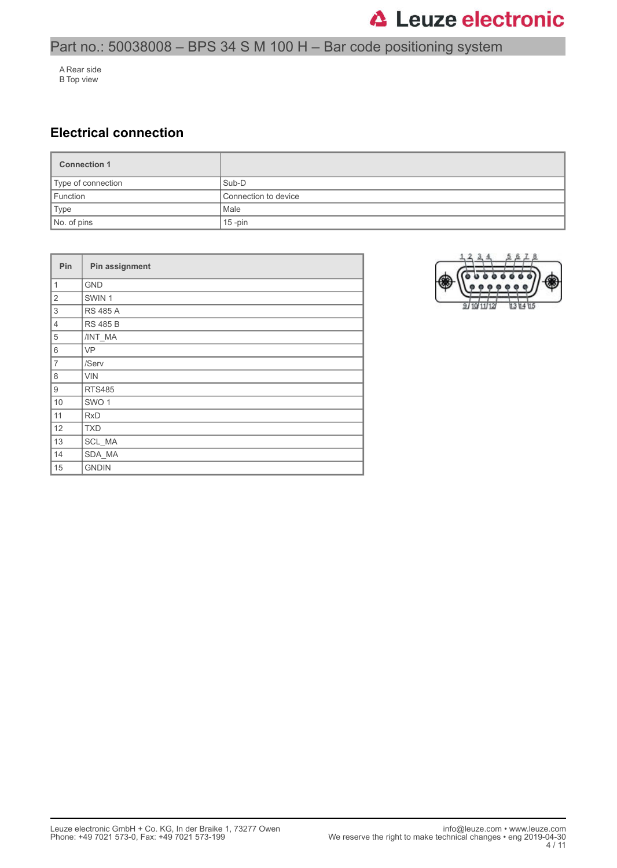### Part no.: 50038008 – BPS 34 S M 100 H – Bar code positioning system

A Rear side B Top view

#### **Electrical connection**

| <b>Connection 1</b> |                      |
|---------------------|----------------------|
| Type of connection  | Sub-D                |
| Function            | Connection to device |
| Type                | Male                 |
| No. of pins         | $15$ -pin            |

| Pin            | Pin assignment   |
|----------------|------------------|
| $\mathbf{1}$   | <b>GND</b>       |
| $\overline{2}$ | SWIN 1           |
| 3              | <b>RS 485 A</b>  |
| $\overline{4}$ | <b>RS 485 B</b>  |
| 5              | /INT_MA          |
| 6              | VP               |
| $\overline{7}$ | /Serv            |
| 8              | <b>VIN</b>       |
| 9              | <b>RTS485</b>    |
| 10             | SWO <sub>1</sub> |
| 11             | <b>RxD</b>       |
| 12             | <b>TXD</b>       |
| 13             | SCL_MA           |
| 14             | SDA_MA           |
| 15             | <b>GNDIN</b>     |

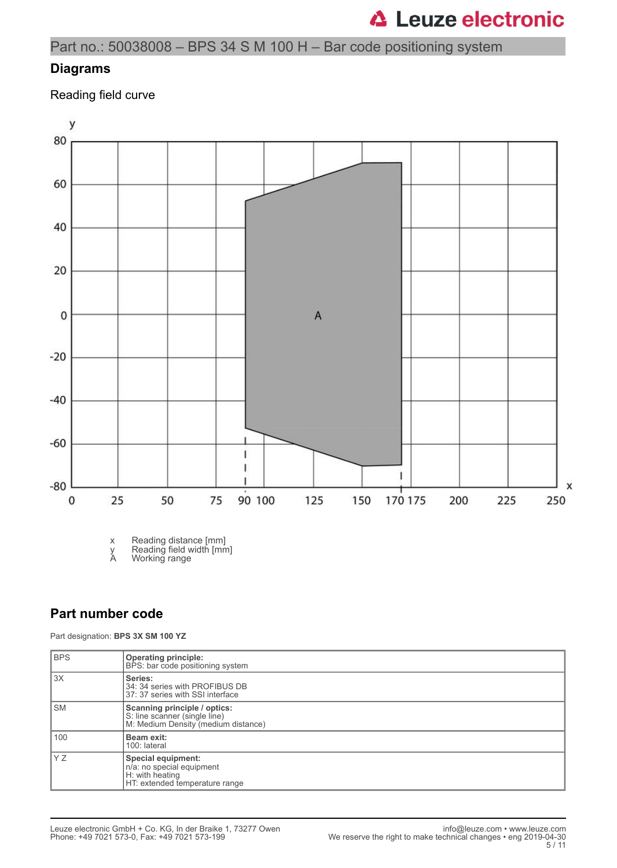Part no.: 50038008 – BPS 34 S M 100 H – Bar code positioning system

#### **Diagrams**

Reading field curve



x Reading distance [mm]

y Reading field width [mm]

A Working range

#### **Part number code**

Part designation: **BPS 3X SM 100 YZ**

| <b>BPS</b> | <b>Operating principle:</b><br>BPS: bar code positioning system                                      |
|------------|------------------------------------------------------------------------------------------------------|
| 13X        | Series:<br>34: 34 series with PROFIBUS DB<br>37: 37 series with SSI interface                        |
| l SM       | Scanning principle / optics:<br>S: line scanner (single line)<br>M: Medium Density (medium distance) |
| 100        | Beam exit:<br>100: lateral                                                                           |
| ly z       | Special equipment:<br>n/a: no special equipment<br>H: with heating<br>HT: extended temperature range |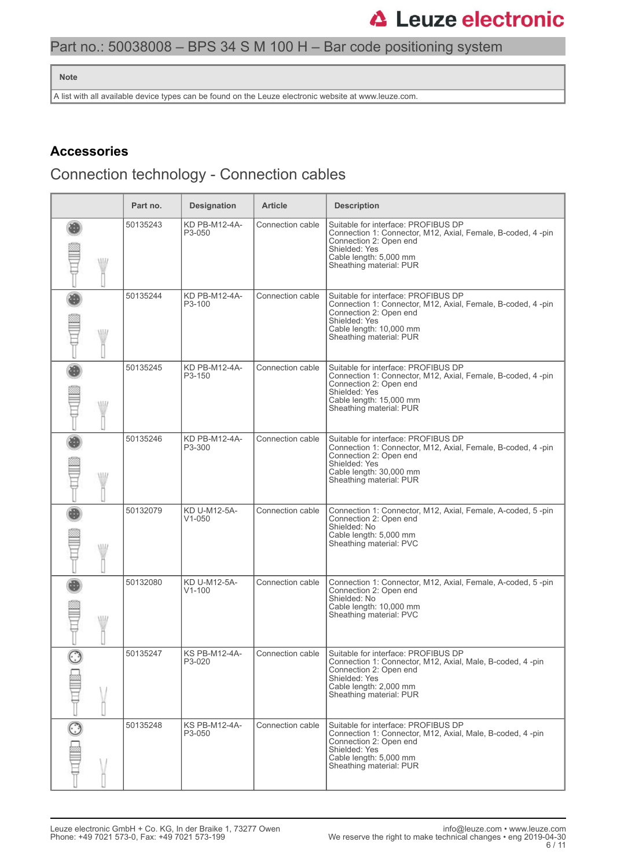#### Part no.: 50038008 – BPS 34 S M 100 H – Bar code positioning system

#### **Note**

A list with all available device types can be found on the Leuze electronic website at www.leuze.com.

#### **Accessories**

### Connection technology - Connection cables

|               | Part no. | <b>Designation</b>             | <b>Article</b>   | <b>Description</b>                                                                                                                                                                                   |
|---------------|----------|--------------------------------|------------------|------------------------------------------------------------------------------------------------------------------------------------------------------------------------------------------------------|
| W             | 50135243 | KD PB-M12-4A-<br>P3-050        | Connection cable | Suitable for interface: PROFIBUS DP<br>Connection 1: Connector, M12, Axial, Female, B-coded, 4-pin<br>Connection 2: Open end<br>Shielded: Yes<br>Cable length: 5,000 mm<br>Sheathing material: PUR   |
| WII           | 50135244 | KD PB-M12-4A-<br>P3-100        | Connection cable | Suitable for interface: PROFIBUS DP<br>Connection 1: Connector, M12, Axial, Female, B-coded, 4 -pin<br>Connection 2: Open end<br>Shielded: Yes<br>Cable length: 10,000 mm<br>Sheathing material: PUR |
| W             | 50135245 | KD PB-M12-4A-<br>P3-150        | Connection cable | Suitable for interface: PROFIBUS DP<br>Connection 1: Connector, M12, Axial, Female, B-coded, 4-pin<br>Connection 2: Open end<br>Shielded: Yes<br>Cable length: 15,000 mm<br>Sheathing material: PUR  |
| W             | 50135246 | KD PB-M12-4A-<br>P3-300        | Connection cable | Suitable for interface: PROFIBUS DP<br>Connection 1: Connector, M12, Axial, Female, B-coded, 4-pin<br>Connection 2: Open end<br>Shielded: Yes<br>Cable length: 30,000 mm<br>Sheathing material: PUR  |
| WII           | 50132079 | KD U-M12-5A-<br>$V1 - 050$     | Connection cable | Connection 1: Connector, M12, Axial, Female, A-coded, 5-pin<br>Connection 2: Open end<br>Shielded: No<br>Cable length: 5,000 mm<br>Sheathing material: PVC                                           |
| W             | 50132080 | KD U-M12-5A-<br>$V1 - 100$     | Connection cable | Connection 1: Connector, M12, Axial, Female, A-coded, 5-pin<br>Connection 2: Open end<br>Shielded: No<br>Cable length: 10,000 mm<br>Sheathing material: PVC                                          |
|               | 50135247 | <b>KS PB-M12-4A-</b><br>P3-020 | Connection cable | Suitable for interface: PROFIBUS DP<br>Connection 1: Connector, M12, Axial, Male, B-coded, 4-pin<br>Connection 2: Open end<br>Shielded: Yes<br>Cable length: 2,000 mm<br>Sheathing material: PUR     |
| $\frac{1}{2}$ | 50135248 | KS PB-M12-4A-<br>P3-050        | Connection cable | Suitable for interface: PROFIBUS DP<br>Connection 1: Connector, M12, Axial, Male, B-coded, 4-pin<br>Connection 2: Open end<br>Shielded: Yes<br>Cable length: 5,000 mm<br>Sheathing material: PUR     |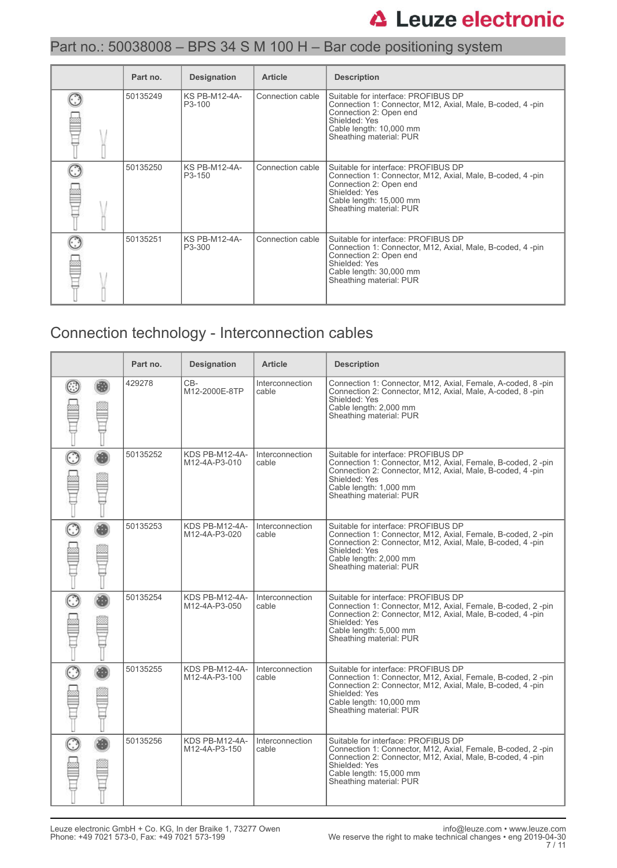#### Part no.: 50038008 – BPS 34 S M 100 H – Bar code positioning system

| Part no. | <b>Designation</b>                          | <b>Article</b>   | <b>Description</b>                                                                                                                                                                                |
|----------|---------------------------------------------|------------------|---------------------------------------------------------------------------------------------------------------------------------------------------------------------------------------------------|
| 50135249 | <b>KS PB-M12-4A-</b><br>P <sub>3</sub> -100 | Connection cable | Suitable for interface: PROFIBUS DP<br>Connection 1: Connector, M12, Axial, Male, B-coded, 4-pin<br>Connection 2: Open end<br>Shielded: Yes<br>Cable length: 10,000 mm<br>Sheathing material: PUR |
| 50135250 | <b>KS PB-M12-4A-</b><br>P3-150              | Connection cable | Suitable for interface: PROFIBUS DP<br>Connection 1: Connector, M12, Axial, Male, B-coded, 4-pin<br>Connection 2: Open end<br>Shielded: Yes<br>Cable length: 15,000 mm<br>Sheathing material: PUR |
| 50135251 | <b>KS PB-M12-4A-</b><br>P3-300              | Connection cable | Suitable for interface: PROFIBUS DP<br>Connection 1: Connector, M12, Axial, Male, B-coded, 4-pin<br>Connection 2: Open end<br>Shielded: Yes<br>Cable length: 30,000 mm<br>Sheathing material: PUR |

### Connection technology - Interconnection cables

|                   | Part no. | <b>Designation</b>              | <b>Article</b>           | <b>Description</b>                                                                                                                                                                                                                     |
|-------------------|----------|---------------------------------|--------------------------|----------------------------------------------------------------------------------------------------------------------------------------------------------------------------------------------------------------------------------------|
|                   | 429278   | CB-<br>M12-2000E-8TP            | Interconnection<br>cable | Connection 1: Connector, M12, Axial, Female, A-coded, 8-pin<br>Connection 2: Connector, M12, Axial, Male, A-coded, 8-pin<br>Shielded: Yes<br>Cable length: 2,000 mm<br>Sheathing material: PUR                                         |
| $\odot$           | 50135252 | KDS PB-M12-4A-<br>M12-4A-P3-010 | Interconnection<br>cable | Suitable for interface: PROFIBUS DP<br>Connection 1: Connector, M12, Axial, Female, B-coded, 2-pin<br>Connection 2: Connector, M12, Axial, Male, B-coded, 4-pin<br>Shielded: Yes<br>Cable length: 1,000 mm<br>Sheathing material: PUR  |
| $\odot$           | 50135253 | KDS PB-M12-4A-<br>M12-4A-P3-020 | Interconnection<br>cable | Suitable for interface: PROFIBUS DP<br>Connection 1: Connector, M12, Axial, Female, B-coded, 2-pin<br>Connection 2: Connector, M12, Axial, Male, B-coded, 4-pin<br>Shielded: Yes<br>Cable length: 2,000 mm<br>Sheathing material: PUR  |
|                   | 50135254 | KDS PB-M12-4A-<br>M12-4A-P3-050 | Interconnection<br>cable | Suitable for interface: PROFIBUS DP<br>Connection 1: Connector, M12, Axial, Female, B-coded, 2-pin<br>Connection 2: Connector, M12, Axial, Male, B-coded, 4-pin<br>Shielded: Yes<br>Cable length: 5,000 mm<br>Sheathing material: PUR  |
| $\widehat{\odot}$ | 50135255 | KDS PB-M12-4A-<br>M12-4A-P3-100 | Interconnection<br>cable | Suitable for interface: PROFIBUS DP<br>Connection 1: Connector, M12, Axial, Female, B-coded, 2-pin<br>Connection 2: Connector, M12, Axial, Male, B-coded, 4-pin<br>Shielded: Yes<br>Cable length: 10,000 mm<br>Sheathing material: PUR |
| G                 | 50135256 | KDS PB-M12-4A-<br>M12-4A-P3-150 | Interconnection<br>cable | Suitable for interface: PROFIBUS DP<br>Connection 1: Connector, M12, Axial, Female, B-coded, 2-pin<br>Connection 2: Connector, M12, Axial, Male, B-coded, 4-pin<br>Shielded: Yes<br>Cable length: 15,000 mm<br>Sheathing material: PUR |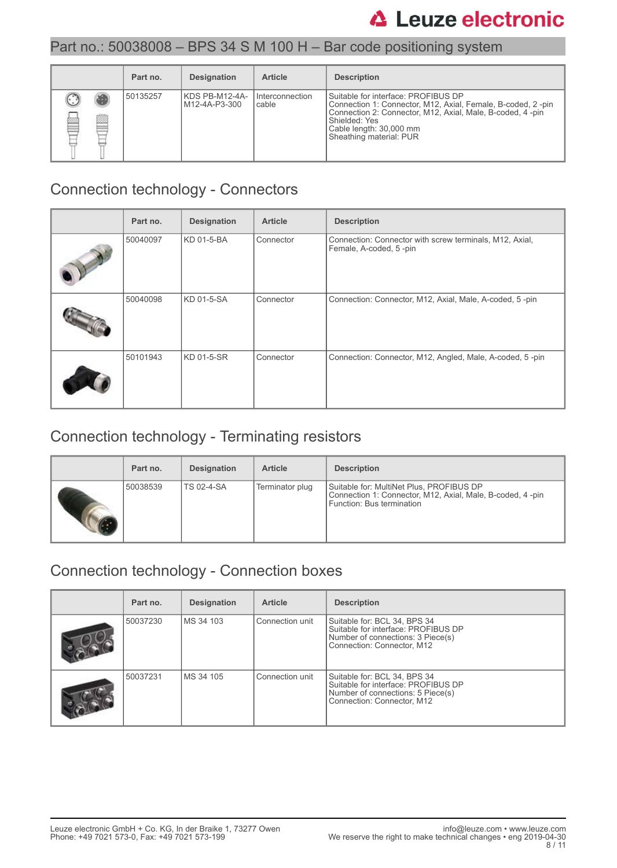#### Part no.: 50038008 – BPS 34 S M 100 H – Bar code positioning system

|        | Part no. | <b>Designation</b>              | <b>Article</b>           | <b>Description</b>                                                                                                                                                                                                                     |
|--------|----------|---------------------------------|--------------------------|----------------------------------------------------------------------------------------------------------------------------------------------------------------------------------------------------------------------------------------|
| b<br>Ø | 50135257 | KDS PB-M12-4A-<br>M12-4A-P3-300 | Interconnection<br>cable | Suitable for interface: PROFIBUS DP<br>Connection 1: Connector, M12, Axial, Female, B-coded, 2-pin<br>Connection 2: Connector, M12, Axial, Male, B-coded, 4-pin<br>Shielded: Yes<br>Cable length: 30,000 mm<br>Sheathing material: PUR |

#### Connection technology - Connectors

| Part no. | <b>Designation</b> | <b>Article</b> | <b>Description</b>                                                                |
|----------|--------------------|----------------|-----------------------------------------------------------------------------------|
| 50040097 | KD 01-5-BA         | Connector      | Connection: Connector with screw terminals, M12, Axial,<br>Female, A-coded, 5-pin |
| 50040098 | KD 01-5-SA         | Connector      | Connection: Connector, M12, Axial, Male, A-coded, 5-pin                           |
| 50101943 | KD 01-5-SR         | Connector      | Connection: Connector, M12, Angled, Male, A-coded, 5-pin                          |

### Connection technology - Terminating resistors

| Part no. | <b>Designation</b> | <b>Article</b>  | <b>Description</b>                                                                                                                 |
|----------|--------------------|-----------------|------------------------------------------------------------------------------------------------------------------------------------|
| 50038539 | <b>TS 02-4-SA</b>  | Terminator plug | Suitable for: MultiNet Plus, PROFIBUS DP<br>Connection 1: Connector, M12, Axial, Male, B-coded, 4-pin<br>Function: Bus termination |

### Connection technology - Connection boxes

| Part no. | <b>Designation</b> | <b>Article</b>  | <b>Description</b>                                                                                                                     |
|----------|--------------------|-----------------|----------------------------------------------------------------------------------------------------------------------------------------|
| 50037230 | MS 34 103          | Connection unit | Suitable for: BCL 34, BPS 34<br>Suitable for interface: PROFIBUS DP<br>Number of connections: 3 Piece(s)<br>Connection: Connector, M12 |
| 50037231 | MS 34 105          | Connection unit | Suitable for: BCL 34, BPS 34<br>Suitable for interface: PROFIBUS DP<br>Number of connections: 5 Piece(s)<br>Connection: Connector, M12 |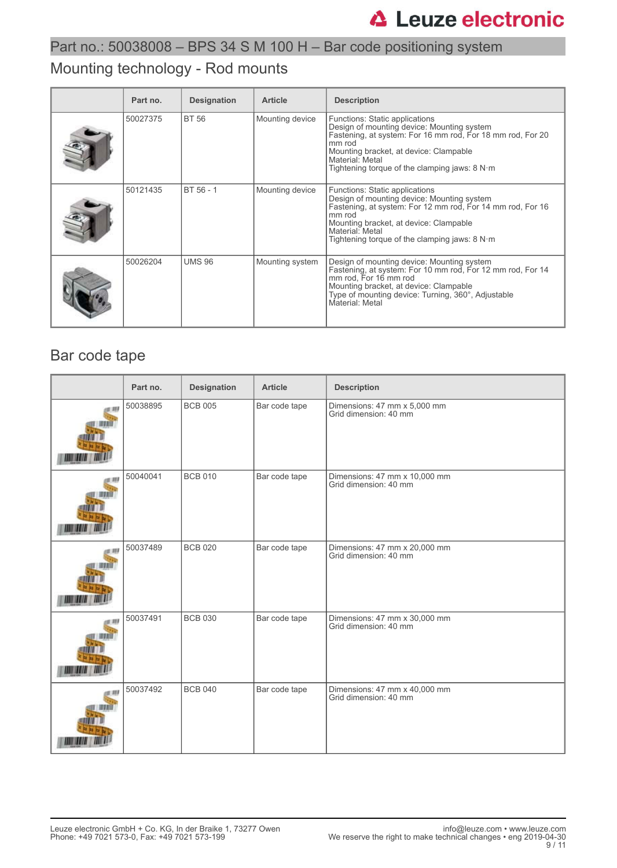### Part no.: 50038008 – BPS 34 S M 100 H – Bar code positioning system

### Mounting technology - Rod mounts

| Part no. | <b>Designation</b> | <b>Article</b>  | <b>Description</b>                                                                                                                                                                                                                                                   |
|----------|--------------------|-----------------|----------------------------------------------------------------------------------------------------------------------------------------------------------------------------------------------------------------------------------------------------------------------|
| 50027375 | <b>BT 56</b>       | Mounting device | Functions: Static applications<br>Design of mounting device: Mounting system<br>Fastening, at system: For 16 mm rod, For 18 mm rod, For 20<br>mm rod<br>Mounting bracket, at device: Clampable<br>Material: Metal<br>Tightening torque of the clamping jaws: $8 N·m$ |
| 50121435 | BT 56 - 1          | Mounting device | Functions: Static applications<br>Design of mounting device: Mounting system<br>Fastening, at system: For 12 mm rod, For 14 mm rod, For 16<br>mm rod<br>Mounting bracket, at device: Clampable<br>Material: Metal<br>Tightening torque of the clamping jaws: $8 N·m$ |
| 50026204 | <b>UMS 96</b>      | Mounting system | Design of mounting device: Mounting system<br>Fastening, at system: For 10 mm rod, For 12 mm rod, For 14<br>mm rod, For 16 mm rod<br>Mounting bracket, at device: Clampable<br>Type of mounting device: Turning, 360°, Adjustable<br>Material: Metal                 |

### Bar code tape

| Part no. | <b>Designation</b> | <b>Article</b> | <b>Description</b>                                     |
|----------|--------------------|----------------|--------------------------------------------------------|
| 50038895 | <b>BCB 005</b>     | Bar code tape  | Dimensions: 47 mm x 5,000 mm<br>Grid dimension: 40 mm  |
| 50040041 | <b>BCB 010</b>     | Bar code tape  | Dimensions: 47 mm x 10,000 mm<br>Grid dimension: 40 mm |
| 50037489 | <b>BCB 020</b>     | Bar code tape  | Dimensions: 47 mm x 20,000 mm<br>Grid dimension: 40 mm |
| 50037491 | <b>BCB 030</b>     | Bar code tape  | Dimensions: 47 mm x 30,000 mm<br>Grid dimension: 40 mm |
| 50037492 | <b>BCB 040</b>     | Bar code tape  | Dimensions: 47 mm x 40,000 mm<br>Grid dimension: 40 mm |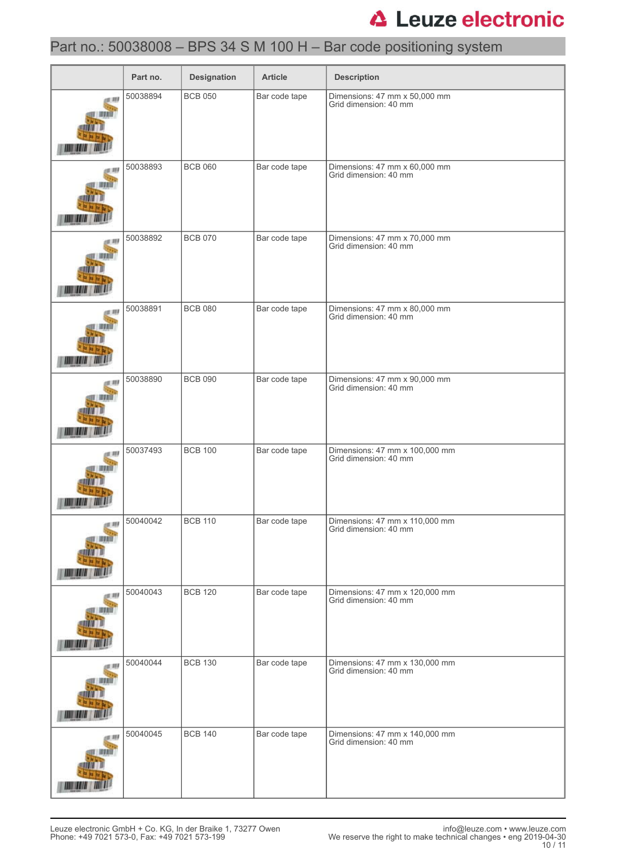### Part no.: 50038008 – BPS 34 S M 100 H – Bar code positioning system

|        | Part no. | <b>Designation</b> | <b>Article</b> | <b>Description</b>                                      |
|--------|----------|--------------------|----------------|---------------------------------------------------------|
| 別      | 50038894 | <b>BCB 050</b>     | Bar code tape  | Dimensions: 47 mm x 50,000 mm<br>Grid dimension: 40 mm  |
|        | 50038893 | <b>BCB 060</b>     | Bar code tape  | Dimensions: 47 mm x 60,000 mm<br>Grid dimension: 40 mm  |
|        | 50038892 | <b>BCB 070</b>     | Bar code tape  | Dimensions: 47 mm x 70,000 mm<br>Grid dimension: 40 mm  |
|        | 50038891 | <b>BCB 080</b>     | Bar code tape  | Dimensions: 47 mm x 80,000 mm<br>Grid dimension: 40 mm  |
|        | 50038890 | <b>BCB 090</b>     | Bar code tape  | Dimensions: 47 mm x 90,000 mm<br>Grid dimension: 40 mm  |
|        | 50037493 | <b>BCB 100</b>     | Bar code tape  | Dimensions: 47 mm x 100,000 mm<br>Grid dimension: 40 mm |
|        | 50040042 | <b>BCB 110</b>     | Bar code tape  | Dimensions: 47 mm x 110,000 mm<br>Grid dimension: 40 mm |
| at 289 | 50040043 | <b>BCB 120</b>     | Bar code tape  | Dimensions: 47 mm x 120,000 mm<br>Grid dimension: 40 mm |
|        | 50040044 | <b>BCB 130</b>     | Bar code tape  | Dimensions: 47 mm x 130,000 mm<br>Grid dimension: 40 mm |
| t 89   | 50040045 | <b>BCB 140</b>     | Bar code tape  | Dimensions: 47 mm x 140,000 mm<br>Grid dimension: 40 mm |